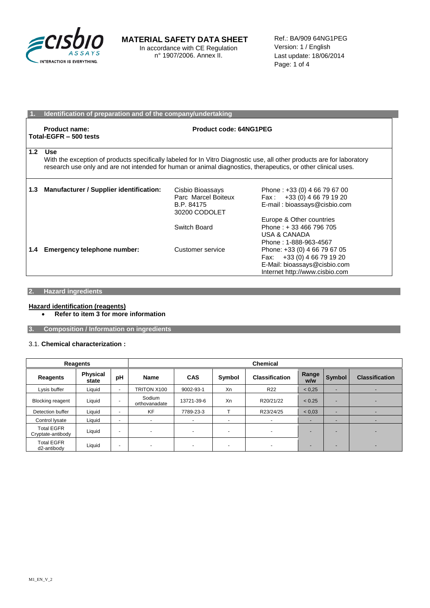

## **MATERIAL SAFETY DATA SHEET** In accordance with CE Regulation

n° 1907/2006. Annex II.

Ref.: BA/909 64NG1PEG Version: 1 / English Last update: 18/06/2014 Page: 1 of 4

|     | Identification of preparation and of the company/undertaking                                                                                                                                                                                          |                                                                        |                                                                                                                              |  |
|-----|-------------------------------------------------------------------------------------------------------------------------------------------------------------------------------------------------------------------------------------------------------|------------------------------------------------------------------------|------------------------------------------------------------------------------------------------------------------------------|--|
|     | Product name:<br>Total-EGFR - 500 tests                                                                                                                                                                                                               | Product code: 64NG1PEG                                                 |                                                                                                                              |  |
| 1.2 | <b>Use</b><br>With the exception of products specifically labeled for In Vitro Diagnostic use, all other products are for laboratory<br>research use only and are not intended for human or animal diagnostics, therapeutics, or other clinical uses. |                                                                        |                                                                                                                              |  |
| 1.3 | Manufacturer / Supplier identification:                                                                                                                                                                                                               | Cisbio Bioassays<br>Parc Marcel Boiteux<br>B.P. 84175<br>30200 CODOLET | Phone: +33 (0) 4 66 79 67 00<br>Fax: $+33(0)$ 4 66 79 19 20<br>E-mail: bioassays@cisbio.com<br>Europe & Other countries      |  |
|     |                                                                                                                                                                                                                                                       | Switch Board                                                           | Phone: +33 466 796 705<br>USA & CANADA<br>Phone: 1-888-963-4567                                                              |  |
| 1.4 | Emergency telephone number:                                                                                                                                                                                                                           | Customer service                                                       | Phone: +33 (0) 4 66 79 67 05<br>Fax: +33 (0) 4 66 79 19 20<br>E-Mail: bioassays@cisbio.com<br>Internet http://www.cisbio.com |  |

## **2. Hazard ingredients**

#### **Hazard identification (reagents) Refer to item 3 for more information**

**3. Composition / Information on ingredients**

#### 3.1. **Chemical characterization :**

|                                        | Reagents                 |                          | <b>Chemical</b>         |                          |                          |                          |              |                          |                          |
|----------------------------------------|--------------------------|--------------------------|-------------------------|--------------------------|--------------------------|--------------------------|--------------|--------------------------|--------------------------|
| Reagents                               | <b>Physical</b><br>state | pH                       | Name                    | <b>CAS</b>               | Symbol                   | <b>Classification</b>    | Range<br>w/w | Symbol                   | <b>Classification</b>    |
| Lysis buffer                           | Liquid                   | $\overline{a}$           | TRITON X100             | 9002-93-1                | Xn                       | R <sub>22</sub>          | < 0.25       |                          |                          |
| <b>Blocking reagent</b>                | Liquid                   | $\overline{\phantom{a}}$ | Sodium<br>orthovanadate | 13721-39-6               | Xn                       | R20/21/22                | < 0.25       | -                        | $\overline{\phantom{0}}$ |
| Detection buffer                       | Liquid                   | $\overline{\phantom{a}}$ | <b>KF</b>               | 7789-23-3                |                          | R23/24/25                | < 0.03       | $\overline{\phantom{a}}$ |                          |
| Control lysate                         | Liquid                   | $\overline{\phantom{a}}$ | ۰                       | ۰                        | $\sim$                   | $\overline{\phantom{0}}$ |              | $\overline{\phantom{a}}$ |                          |
| <b>Total EGFR</b><br>Cryptate-antibody | Liquid                   | $\overline{\phantom{a}}$ | -                       | $\overline{\phantom{0}}$ | $\sim$                   | $\overline{\phantom{0}}$ |              |                          | $\overline{a}$           |
| <b>Total EGFR</b><br>d2-antibody       | Liquid                   | $\overline{\phantom{a}}$ |                         |                          | $\overline{\phantom{a}}$ |                          |              |                          | $\overline{a}$           |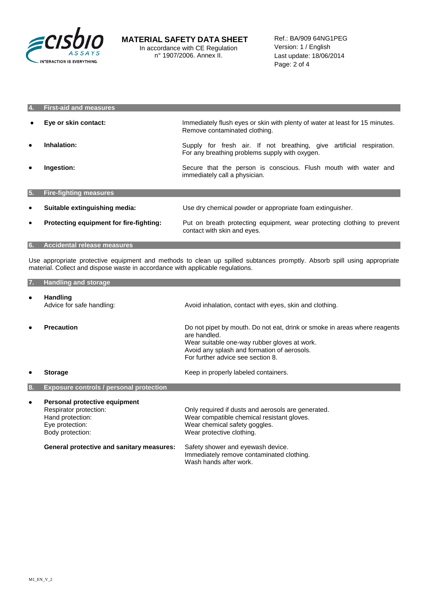

| Ι4.       | <b>First-aid and measures</b>           |                                                                                                                        |
|-----------|-----------------------------------------|------------------------------------------------------------------------------------------------------------------------|
|           | Eye or skin contact:                    | Immediately flush eyes or skin with plenty of water at least for 15 minutes.<br>Remove contaminated clothing.          |
| ٠         | Inhalation:                             | Supply for fresh air. If not breathing, give artificial respiration.<br>For any breathing problems supply with oxygen. |
| ٠         | Ingestion:                              | Secure that the person is conscious. Flush mouth with water and<br>immediately call a physician.                       |
| 15.       | <b>Fire-fighting measures</b>           |                                                                                                                        |
| $\bullet$ | Suitable extinguishing media:           | Use dry chemical powder or appropriate foam extinguisher.                                                              |
| $\bullet$ | Protecting equipment for fire-fighting: | Put on breath protecting equipment, wear protecting clothing to prevent<br>contact with skin and eyes.                 |
| 6.        | <b>Accidental release measures</b>      |                                                                                                                        |

Use appropriate protective equipment and methods to clean up spilled subtances promptly. Absorb spill using appropriate material. Collect and dispose waste in accordance with applicable regulations.

| 7. | <b>Handling and storage</b>                                                                                        |                                                                                                                                                                                                                               |
|----|--------------------------------------------------------------------------------------------------------------------|-------------------------------------------------------------------------------------------------------------------------------------------------------------------------------------------------------------------------------|
| ٠  | <b>Handling</b><br>Advice for safe handling:                                                                       | Avoid inhalation, contact with eyes, skin and clothing.                                                                                                                                                                       |
| ٠  | <b>Precaution</b>                                                                                                  | Do not pipet by mouth. Do not eat, drink or smoke in areas where reagents<br>are handled.<br>Wear suitable one-way rubber gloves at work.<br>Avoid any splash and formation of aerosols.<br>For further advice see section 8. |
| ٠  | <b>Storage</b>                                                                                                     | Keep in properly labeled containers.                                                                                                                                                                                          |
| 8. | <b>Exposure controls / personal protection</b>                                                                     |                                                                                                                                                                                                                               |
| ٠  | Personal protective equipment<br>Respirator protection:<br>Hand protection:<br>Eye protection:<br>Body protection: | Only required if dusts and aerosols are generated.<br>Wear compatible chemical resistant gloves.<br>Wear chemical safety goggles.<br>Wear protective clothing.                                                                |
|    | <b>General protective and sanitary measures:</b>                                                                   | Safety shower and eyewash device.<br>Immediately remove contaminated clothing.<br>Wash hands after work.                                                                                                                      |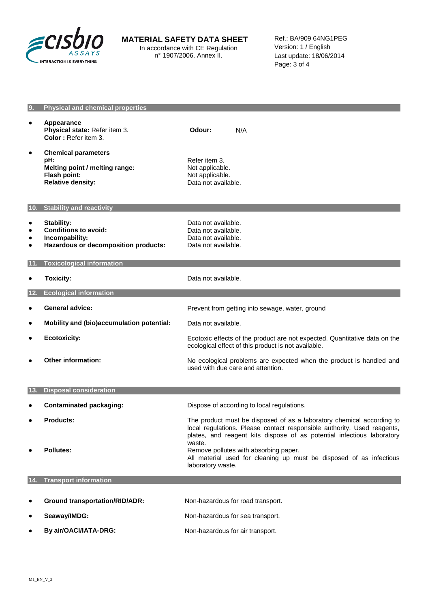

# **MATERIAL SAFETY DATA SHEET**

In accordance with CE Regulation n° 1907/2006. Annex II.

Ref.: BA/909 64NG1PEG Version: 1 / English Last update: 18/06/2014 Page: 3 of 4

| 9.                                       | <b>Physical and chemical properties</b>                                                                         |                                                                                                                                                                                                                                      |
|------------------------------------------|-----------------------------------------------------------------------------------------------------------------|--------------------------------------------------------------------------------------------------------------------------------------------------------------------------------------------------------------------------------------|
| $\bullet$                                | <b>Appearance</b><br>Physical state: Refer item 3.<br>Color: Refer item 3.                                      | Odour:<br>N/A                                                                                                                                                                                                                        |
| ٠                                        | <b>Chemical parameters</b><br>pH:<br>Melting point / melting range:<br>Flash point:<br><b>Relative density:</b> | Refer item 3.<br>Not applicable.<br>Not applicable.<br>Data not available.                                                                                                                                                           |
|                                          | 10. Stability and reactivity                                                                                    |                                                                                                                                                                                                                                      |
| ٠<br>$\bullet$<br>$\bullet$<br>$\bullet$ | <b>Stability:</b><br><b>Conditions to avoid:</b><br>Incompability:<br>Hazardous or decomposition products:      | Data not available.<br>Data not available.<br>Data not available.<br>Data not available.                                                                                                                                             |
| 11.                                      | <b>Toxicological information</b>                                                                                |                                                                                                                                                                                                                                      |
| ٠                                        | <b>Toxicity:</b>                                                                                                | Data not available.                                                                                                                                                                                                                  |
| 12.                                      | <b>Ecological information</b>                                                                                   |                                                                                                                                                                                                                                      |
| ٠                                        | <b>General advice:</b>                                                                                          | Prevent from getting into sewage, water, ground                                                                                                                                                                                      |
| $\bullet$                                | Mobility and (bio)accumulation potential:                                                                       | Data not available.                                                                                                                                                                                                                  |
| $\bullet$                                | <b>Ecotoxicity:</b>                                                                                             | Ecotoxic effects of the product are not expected. Quantitative data on the<br>ecological effect of this product is not available.                                                                                                    |
| ٠                                        | <b>Other information:</b>                                                                                       | No ecological problems are expected when the product is handled and<br>used with due care and attention.                                                                                                                             |
| 13.                                      | <b>Disposal consideration</b>                                                                                   |                                                                                                                                                                                                                                      |
| ٠                                        | <b>Contaminated packaging:</b>                                                                                  | Dispose of according to local regulations.                                                                                                                                                                                           |
| ٠                                        | <b>Products:</b>                                                                                                | The product must be disposed of as a laboratory chemical according to<br>local regulations. Please contact responsible authority. Used reagents,<br>plates, and reagent kits dispose of as potential infectious laboratory<br>waste. |
|                                          | <b>Pollutes:</b>                                                                                                | Remove pollutes with absorbing paper.<br>All material used for cleaning up must be disposed of as infectious<br>laboratory waste.                                                                                                    |
| 14.                                      | <b>Transport information</b>                                                                                    |                                                                                                                                                                                                                                      |
|                                          | <b>Ground transportation/RID/ADR:</b>                                                                           | Non-hazardous for road transport.                                                                                                                                                                                                    |
| ٠                                        | Seaway/IMDG:                                                                                                    | Non-hazardous for sea transport.                                                                                                                                                                                                     |
|                                          | By air/OACI/IATA-DRG:                                                                                           | Non-hazardous for air transport.                                                                                                                                                                                                     |
|                                          |                                                                                                                 |                                                                                                                                                                                                                                      |